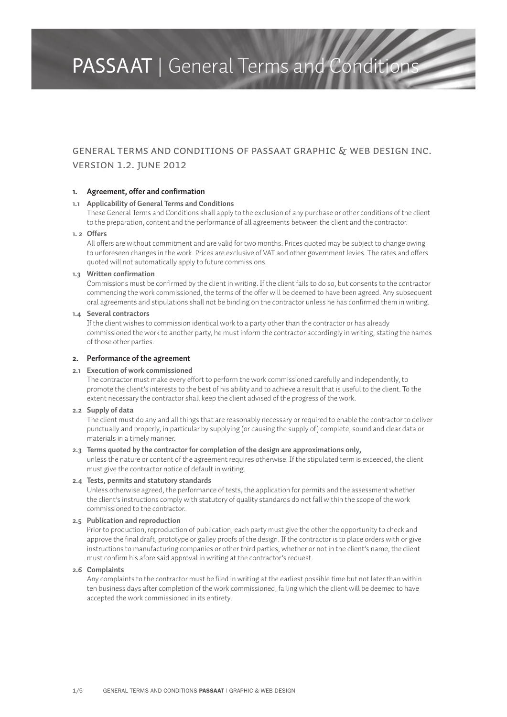# General Terms and Conditions of Passaat Graphic & Web Design Inc. Version 1.2. June 2012

#### **1. Agreement, offer and confirmation**

#### **1.1 Applicability of General Terms and Conditions**

These General Terms and Conditions shall apply to the exclusion of any purchase or other conditions of the client to the preparation, content and the performance of all agreements between the client and the contractor.

#### **1. 2 Offers**

All offers are without commitment and are valid for two months. Prices quoted may be subject to change owing to unforeseen changes in the work. Prices are exclusive of VAT and other government levies. The rates and offers quoted will not automatically apply to future commissions.

#### **1.3 Written confirmation**

Commissions must be confirmed by the client in writing. If the client fails to do so, but consents to the contractor commencing the work commissioned, the terms of the offer will be deemed to have been agreed. Any subsequent oral agreements and stipulations shall not be binding on the contractor unless he has confirmed them in writing.

# **1.4 Several contractors**

If the client wishes to commission identical work to a party other than the contractor or has already commissioned the work to another party, he must inform the contractor accordingly in writing, stating the names of those other parties.

# **2. Performance of the agreement**

#### **2.1 Execution of work commissioned**

The contractor must make every effort to perform the work commissioned carefully and independently, to promote the client's interests to the best of his ability and to achieve a result that is useful to the client. To the extent necessary the contractor shall keep the client advised of the progress of the work.

#### **2.2 Supply of data**

The client must do any and all things that are reasonably necessary or required to enable the contractor to deliver punctually and properly, in particular by supplying (or causing the supply of) complete, sound and clear data or materials in a timely manner.

#### **2.3 Terms quoted by the contractor for completion of the design are approximations only,**

unless the nature or content of the agreement requires otherwise. If the stipulated term is exceeded, the client must give the contractor notice of default in writing.

#### **2.4 Tests, permits and statutory standards**

Unless otherwise agreed, the performance of tests, the application for permits and the assessment whether the client's instructions comply with statutory of quality standards do not fall within the scope of the work commissioned to the contractor.

#### **2.5 Publication and reproduction**

Prior to production, reproduction of publication, each party must give the other the opportunity to check and approve the final draft, prototype or galley proofs of the design. If the contractor is to place orders with or give instructions to manufacturing companies or other third parties, whether or not in the client's name, the client must confirm his afore said approval in writing at the contractor's request.

#### **2.6 Complaints**

Any complaints to the contractor must be filed in writing at the earliest possible time but not later than within ten business days after completion of the work commissioned, failing which the client will be deemed to have accepted the work commissioned in its entirety.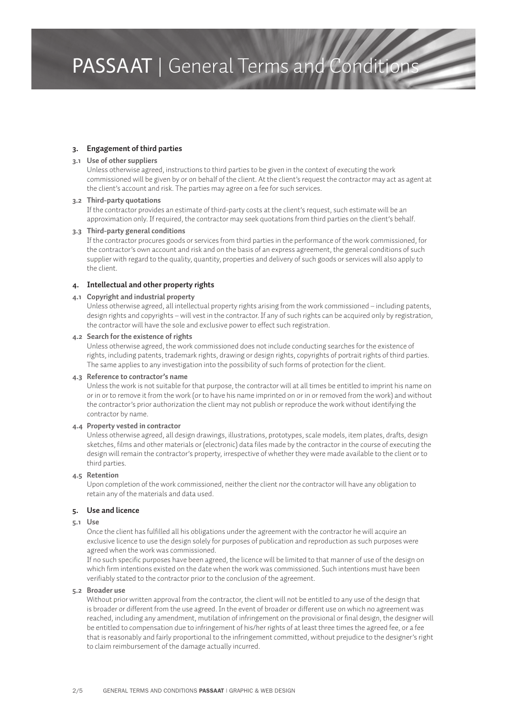#### **3. Engagement of third parties**

#### **3.1 Use of other suppliers**

Unless otherwise agreed, instructions to third parties to be given in the context of executing the work commissioned will be given by or on behalf of the client. At the client's request the contractor may act as agent at the client's account and risk. The parties may agree on a fee for such services.

#### **3.2 Third-party quotations**

If the contractor provides an estimate of third-party costs at the client's request, such estimate will be an approximation only. If required, the contractor may seek quotations from third parties on the client's behalf.

#### **3.3 Third-party general conditions**

If the contractor procures goods or services from third parties in the performance of the work commissioned, for the contractor's own account and risk and on the basis of an express agreement, the general conditions of such supplier with regard to the quality, quantity, properties and delivery of such goods or services will also apply to the client.

# **4. Intellectual and other property rights**

# **4.1 Copyright and industrial property**

Unless otherwise agreed, all intellectual property rights arising from the work commissioned – including patents, design rights and copyrights – will vest in the contractor. If any of such rights can be acquired only by registration, the contractor will have the sole and exclusive power to effect such registration.

#### **4.2 Search for the existence of rights**

Unless otherwise agreed, the work commissioned does not include conducting searches for the existence of rights, including patents, trademark rights, drawing or design rights, copyrights of portrait rights of third parties. The same applies to any investigation into the possibility of such forms of protection for the client.

### **4.3 Reference to contractor's name**

Unless the work is not suitable for that purpose, the contractor will at all times be entitled to imprint his name on or in or to remove it from the work (or to have his name imprinted on or in or removed from the work) and without the contractor's prior authorization the client may not publish or reproduce the work without identifying the contractor by name.

# **4.4 Property vested in contractor**

Unless otherwise agreed, all design drawings, illustrations, prototypes, scale models, item plates, drafts, design sketches, films and other materials or (electronic) data files made by the contractor in the course of executing the design will remain the contractor's property, irrespective of whether they were made available to the client or to third parties.

#### **4.5 Retention**

Upon completion of the work commissioned, neither the client nor the contractor will have any obligation to retain any of the materials and data used.

# **5. Use and licence**

## **5.1 Use**

Once the client has fulfilled all his obligations under the agreement with the contractor he will acquire an exclusive licence to use the design solely for purposes of publication and reproduction as such purposes were agreed when the work was commissioned.

If no such specific purposes have been agreed, the licence will be limited to that manner of use of the design on which firm intentions existed on the date when the work was commissioned. Such intentions must have been verifiably stated to the contractor prior to the conclusion of the agreement.

### **5.2 Broader use**

Without prior written approval from the contractor, the client will not be entitled to any use of the design that is broader or different from the use agreed. In the event of broader or different use on which no agreement was reached, including any amendment, mutilation of infringement on the provisional or final design, the designer will be entitled to compensation due to infringement of his/her rights of at least three times the agreed fee, or a fee that is reasonably and fairly proportional to the infringement committed, without prejudice to the designer's right to claim reimbursement of the damage actually incurred.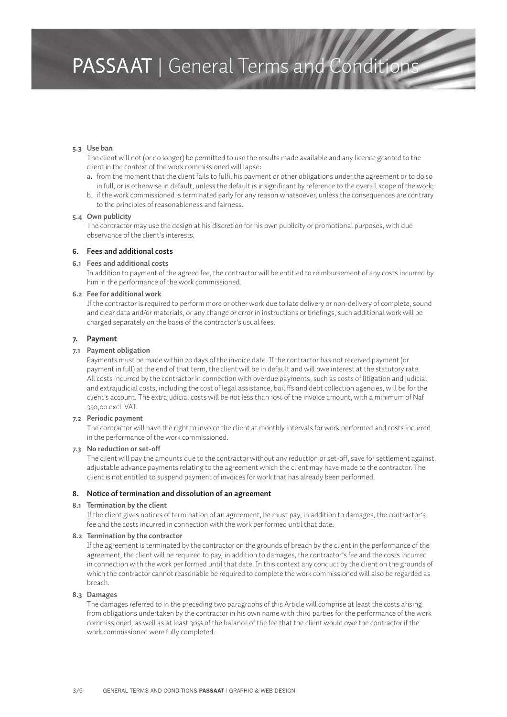#### **5.3 Use ban**

The client will not (or no longer) be permitted to use the results made available and any licence granted to the client in the context of the work commissioned will lapse:

- a. from the moment that the client fails to fulfil his payment or other obligations under the agreement or to do so in full, or is otherwise in default, unless the default is insignificant by reference to the overall scope of the work;
- b. if the work commissioned is terminated early for any reason whatsoever, unless the consequences are contrary to the principles of reasonableness and fairness.

#### **5.4 Own publicity**

The contractor may use the design at his discretion for his own publicity or promotional purposes, with due observance of the client's interests.

#### **6. Fees and additional costs**

#### **6.1 Fees and additional costs**

In addition to payment of the agreed fee, the contractor will be entitled to reimbursement of any costs incurred by him in the performance of the work commissioned.

## **6.2 Fee for additional work**

If the contractor is required to perform more or other work due to late delivery or non-delivery of complete, sound and clear data and/or materials, or any change or error in instructions or briefings, such additional work will be charged separately on the basis of the contractor's usual fees.

#### **7. Payment**

#### **7.1 Payment obligation**

Payments must be made within 20 days of the invoice date. If the contractor has not received payment (or payment in full) at the end of that term, the client will be in default and will owe interest at the statutory rate. All costs incurred by the contractor in connection with overdue payments, such as costs of litigation and judicial and extrajudicial costs, including the cost of legal assistance, bailiffs and debt collection agencies, will be for the client's account. The extrajudicial costs will be not less than 10% of the invoice amount, with a minimum of Naf 350,00 excl. VAT.

#### **7.2 Periodic payment**

The contractor will have the right to invoice the client at monthly intervals for work performed and costs incurred in the performance of the work commissioned.

#### **7.3 No reduction or set-off**

The client will pay the amounts due to the contractor without any reduction or set-off, save for settlement against adjustable advance payments relating to the agreement which the client may have made to the contractor. The client is not entitled to suspend payment of invoices for work that has already been performed.

#### **8. Notice of termination and dissolution of an agreement**

#### **8.1 Termination by the client**

If the client gives notices of termination of an agreement, he must pay, in addition to damages, the contractor's fee and the costs incurred in connection with the work per formed until that date.

#### **8.2 Termination by the contractor**

If the agreement is terminated by the contractor on the grounds of breach by the client in the performance of the agreement, the client will be required to pay, in addition to damages, the contractor's fee and the costs incurred in connection with the work per formed until that date. In this context any conduct by the client on the grounds of which the contractor cannot reasonable be required to complete the work commissioned will also be regarded as breach.

#### **8.3 Damages**

The damages referred to in the preceding two paragraphs of this Article will comprise at least the costs arising from obligations undertaken by the contractor in his own name with third parties for the performance of the work commissioned, as well as at least 30% of the balance of the fee that the client would owe the contractor if the work commissioned were fully completed.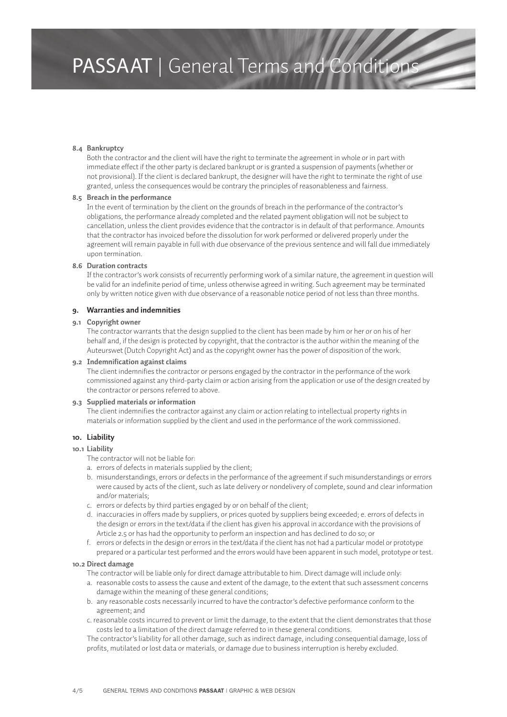#### **8.4 Bankruptcy**

Both the contractor and the client will have the right to terminate the agreement in whole or in part with immediate effect if the other party is declared bankrupt or is granted a suspension of payments (whether or not provisional). If the client is declared bankrupt, the designer will have the right to terminate the right of use granted, unless the consequences would be contrary the principles of reasonableness and fairness.

#### **8.5 Breach in the performance**

In the event of termination by the client on the grounds of breach in the performance of the contractor's obligations, the performance already completed and the related payment obligation will not be subject to cancellation, unless the client provides evidence that the contractor is in default of that performance. Amounts that the contractor has invoiced before the dissolution for work performed or delivered properly under the agreement will remain payable in full with due observance of the previous sentence and will fall due immediately upon termination.

#### **8.6 Duration contracts**

If the contractor's work consists of recurrently performing work of a similar nature, the agreement in question will be valid for an indefinite period of time, unless otherwise agreed in writing. Such agreement may be terminated only by written notice given with due observance of a reasonable notice period of not less than three months.

#### **9. Warranties and indemnities**

#### **9.1 Copyright owner**

The contractor warrants that the design supplied to the client has been made by him or her or on his of her behalf and, if the design is protected by copyright, that the contractor is the author within the meaning of the Auteurswet (Dutch Copyright Act) and as the copyright owner has the power of disposition of the work.

#### **9.2 Indemnification against claims**

The client indemnifies the contractor or persons engaged by the contractor in the performance of the work commissioned against any third-party claim or action arising from the application or use of the design created by the contractor or persons referred to above.

# **9.3 Supplied materials or information**

The client indemnifies the contractor against any claim or action relating to intellectual property rights in materials or information supplied by the client and used in the performance of the work commissioned.

#### **10. Liability**

#### **10.1 Liability**

- The contractor will not be liable for:
- a. errors of defects in materials supplied by the client;
- b. misunderstandings, errors or defects in the performance of the agreement if such misunderstandings or errors were caused by acts of the client, such as late delivery or nondelivery of complete, sound and clear information and/or materials;
- c. errors or defects by third parties engaged by or on behalf of the client;
- d. inaccuracies in offers made by suppliers, or prices quoted by suppliers being exceeded; e. errors of defects in the design or errors in the text/data if the client has given his approval in accordance with the provisions of Article 2.5 or has had the opportunity to perform an inspection and has declined to do so; or
- f. errors or defects in the design or errors in the text/data if the client has not had a particular model or prototype prepared or a particular test performed and the errors would have been apparent in such model, prototype or test.

#### **10.2 Direct damage**

The contractor will be liable only for direct damage attributable to him. Direct damage will include only:

- a. reasonable costs to assess the cause and extent of the damage, to the extent that such assessment concerns damage within the meaning of these general conditions;
- b. any reasonable costs necessarily incurred to have the contractor's defective performance conform to the agreement; and
- c. reasonable costs incurred to prevent or limit the damage, to the extent that the client demonstrates that those costs led to a limitation of the direct damage referred to in these general conditions.

The contractor's liability for all other damage, such as indirect damage, including consequential damage, loss of profits, mutilated or lost data or materials, or damage due to business interruption is hereby excluded.